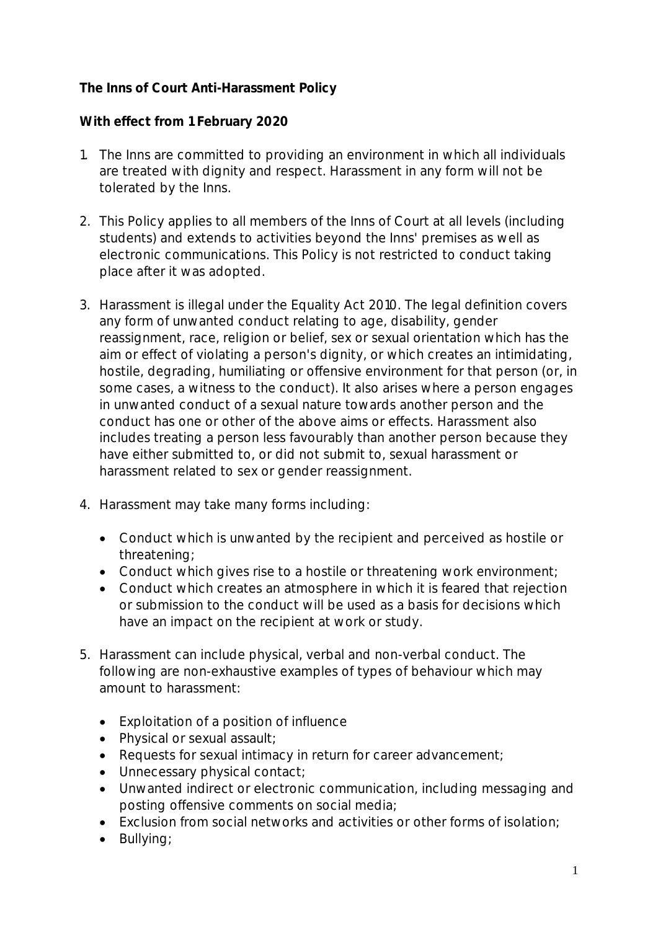## **The Inns of Court Anti-Harassment Policy**

## **With effect from 1 February 2020**

- 1. The Inns are committed to providing an environment in which all individuals are treated with dignity and respect. Harassment in any form will not be tolerated by the Inns.
- 2. This Policy applies to all members of the Inns of Court at all levels (including students) and extends to activities beyond the Inns' premises as well as electronic communications. This Policy is not restricted to conduct taking place after it was adopted.
- 3. Harassment is illegal under the Equality Act 2010. The legal definition covers any form of unwanted conduct relating to age, disability, gender reassignment, race, religion or belief, sex or sexual orientation which has the aim or effect of violating a person's dignity, or which creates an intimidating, hostile, degrading, humiliating or offensive environment for that person (or, in some cases, a witness to the conduct). It also arises where a person engages in unwanted conduct of a sexual nature towards another person and the conduct has one or other of the above aims or effects. Harassment also includes treating a person less favourably than another person because they have either submitted to, or did not submit to, sexual harassment or harassment related to sex or gender reassignment.
- 4. Harassment may take many forms including:
	- Conduct which is unwanted by the recipient and perceived as hostile or threatening;
	- Conduct which gives rise to a hostile or threatening work environment;
	- Conduct which creates an atmosphere in which it is feared that rejection or submission to the conduct will be used as a basis for decisions which have an impact on the recipient at work or study.
- 5. Harassment can include physical, verbal and non-verbal conduct. The following are non-exhaustive examples of types of behaviour which may amount to harassment:
	- Exploitation of a position of influence
	- Physical or sexual assault;
	- Requests for sexual intimacy in return for career advancement;
	- Unnecessary physical contact;
	- Unwanted indirect or electronic communication, including messaging and posting offensive comments on social media;
	- Exclusion from social networks and activities or other forms of isolation;
	- Bullying;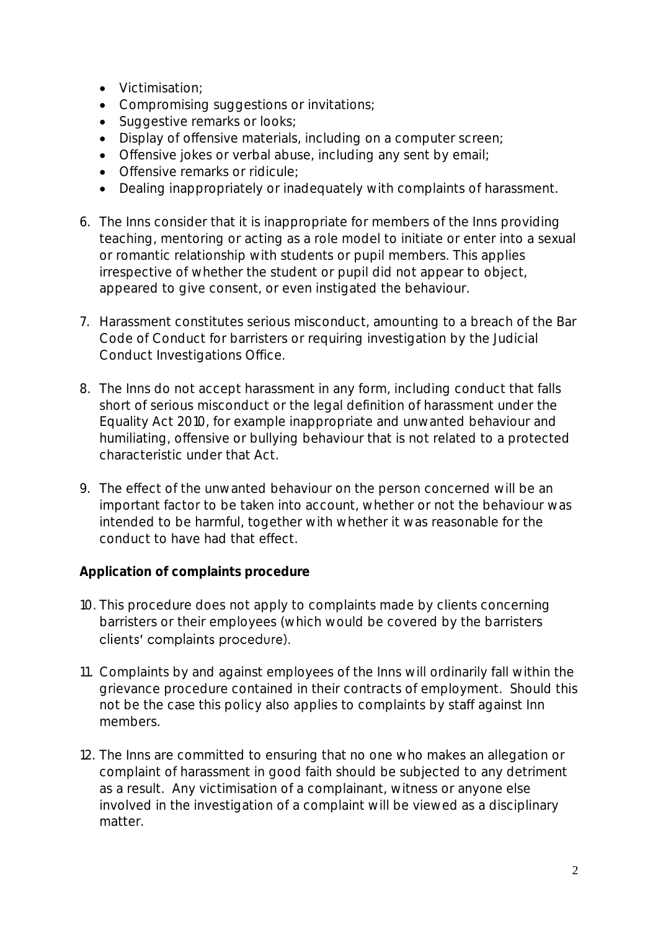- Victimisation;
- Compromising suggestions or invitations;
- Suggestive remarks or looks;
- Display of offensive materials, including on a computer screen;
- Offensive jokes or verbal abuse, including any sent by email;
- Offensive remarks or ridicule;
- Dealing inappropriately or inadequately with complaints of harassment.
- 6. The Inns consider that it is inappropriate for members of the Inns providing teaching, mentoring or acting as a role model to initiate or enter into a sexual or romantic relationship with students or pupil members. This applies irrespective of whether the student or pupil did not appear to object, appeared to give consent, or even instigated the behaviour.
- 7. Harassment constitutes serious misconduct, amounting to a breach of the Bar Code of Conduct for barristers or requiring investigation by the Judicial Conduct Investigations Office.
- 8. The Inns do not accept harassment in any form, including conduct that falls short of serious misconduct or the legal definition of harassment under the Equality Act 2010, for example inappropriate and unwanted behaviour and humiliating, offensive or bullying behaviour that is not related to a protected characteristic under that Act.
- 9. The effect of the unwanted behaviour on the person concerned will be an important factor to be taken into account, whether or not the behaviour was intended to be harmful, together with whether it was reasonable for the conduct to have had that effect.

**Application of complaints procedure**

- 10. This procedure does not apply to complaints made by clients concerning barristers or their employees (which would be covered by the barristers clients' complaints procedure).
- 11. Complaints by and against employees of the Inns will ordinarily fall within the grievance procedure contained in their contracts of employment. Should this not be the case this policy also applies to complaints by staff against Inn members.
- 12. The Inns are committed to ensuring that no one who makes an allegation or complaint of harassment in good faith should be subjected to any detriment as a result. Any victimisation of a complainant, witness or anyone else involved in the investigation of a complaint will be viewed as a disciplinary matter.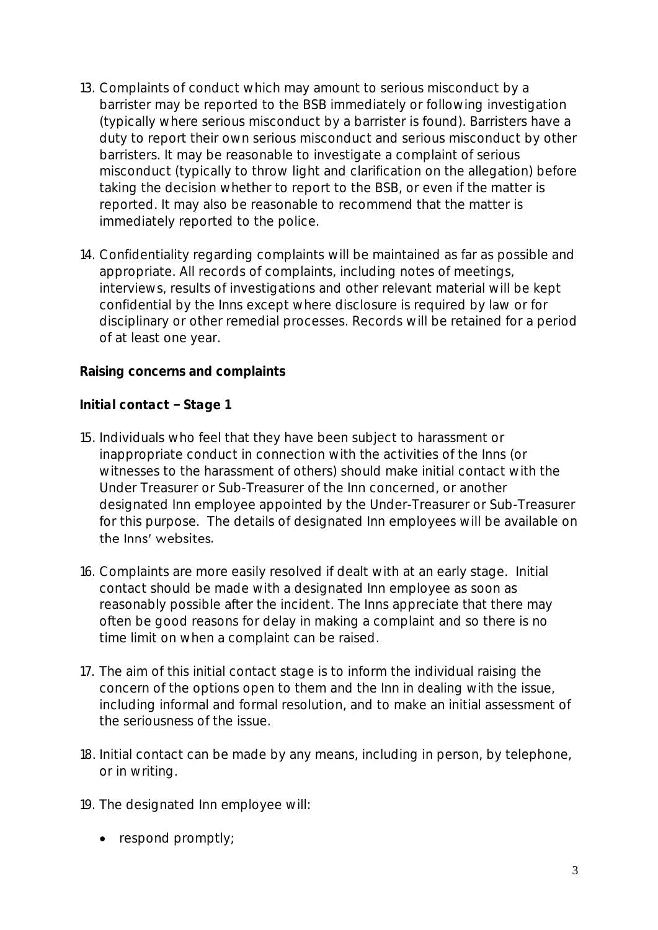- 13. Complaints of conduct which may amount to serious misconduct by a barrister may be reported to the BSB immediately or following investigation (typically where serious misconduct by a barrister is found). Barristers have a duty to report their own serious misconduct and serious misconduct by other barristers. It may be reasonable to investigate a complaint of serious misconduct (typically to throw light and clarification on the allegation) before taking the decision whether to report to the BSB, or even if the matter is reported. It may also be reasonable to recommend that the matter is immediately reported to the police.
- 14. Confidentiality regarding complaints will be maintained as far as possible and appropriate. All records of complaints, including notes of meetings, interviews, results of investigations and other relevant material will be kept confidential by the Inns except where disclosure is required by law or for disciplinary or other remedial processes. Records will be retained for a period of at least one year.

**Raising concerns and complaints**

*Initial contact - Stage 1* 

- 15. Individuals who feel that they have been subject to harassment or inappropriate conduct in connection with the activities of the Inns (or witnesses to the harassment of others) should make initial contact with the Under Treasurer or Sub-Treasurer of the Inn concerned, or another designated Inn employee appointed by the Under-Treasurer or Sub-Treasurer for this purpose. The details of designated Inn employees will be available on the Inns' websites.
- 16. Complaints are more easily resolved if dealt with at an early stage. Initial contact should be made with a designated Inn employee as soon as reasonably possible after the incident. The Inns appreciate that there may often be good reasons for delay in making a complaint and so there is no time limit on when a complaint can be raised.
- 17. The aim of this initial contact stage is to inform the individual raising the concern of the options open to them and the Inn in dealing with the issue, including informal and formal resolution, and to make an initial assessment of the seriousness of the issue.
- 18. Initial contact can be made by any means, including in person, by telephone, or in writing.
- 19. The designated Inn employee will:
	- respond promptly;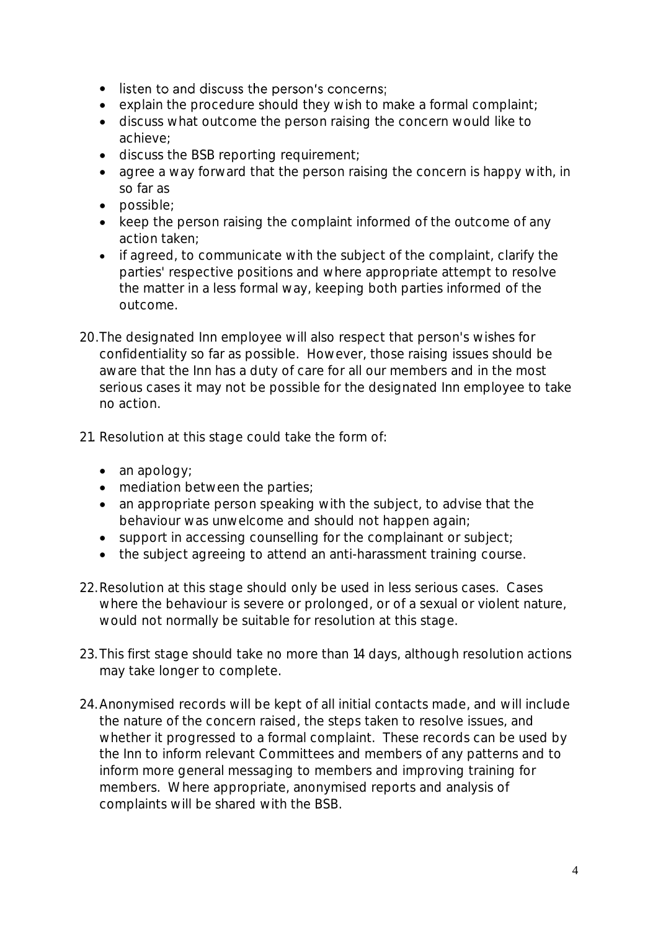- listen to and discuss the person's concerns;
- explain the procedure should they wish to make a formal complaint;
- discuss what outcome the person raising the concern would like to achieve;
- discuss the BSB reporting requirement;
- agree a way forward that the person raising the concern is happy with, in so far as
- possible;
- keep the person raising the complaint informed of the outcome of any action taken;
- if agreed, to communicate with the subject of the complaint, clarify the parties' respective positions and where appropriate attempt to resolve the matter in a less formal way, keeping both parties informed of the outcome.
- 20.The designated Inn employee will also respect that person's wishes for confidentiality so far as possible. However, those raising issues should be aware that the Inn has a duty of care for all our members and in the most serious cases it may not be possible for the designated Inn employee to take no action.
- 21. Resolution at this stage could take the form of:
	- an apology;
	- mediation between the parties;
	- an appropriate person speaking with the subject, to advise that the behaviour was unwelcome and should not happen again;
	- support in accessing counselling for the complainant or subject;
	- the subject agreeing to attend an anti-harassment training course.
- 22.Resolution at this stage should only be used in less serious cases. Cases where the behaviour is severe or prolonged, or of a sexual or violent nature, would not normally be suitable for resolution at this stage.
- 23.This first stage should take no more than 14 days, although resolution actions may take longer to complete.
- 24.Anonymised records will be kept of all initial contacts made, and will include the nature of the concern raised, the steps taken to resolve issues, and whether it progressed to a formal complaint. These records can be used by the Inn to inform relevant Committees and members of any patterns and to inform more general messaging to members and improving training for members. Where appropriate, anonymised reports and analysis of complaints will be shared with the BSB.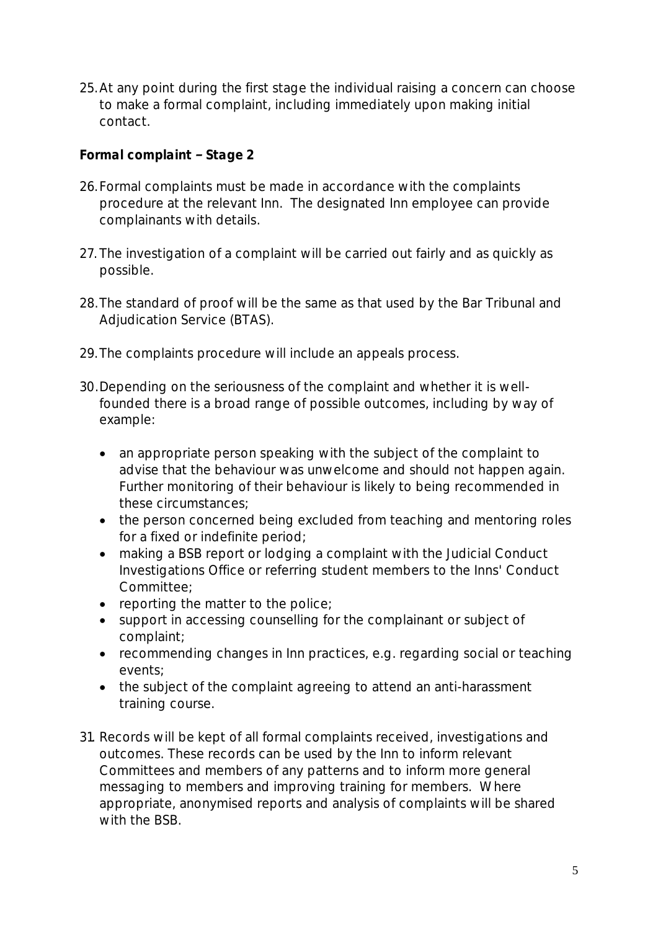25.At any point during the first stage the individual raising a concern can choose to make a formal complaint, including immediately upon making initial contact.

*Formal complaint - Stage 2* 

- 26.Formal complaints must be made in accordance with the complaints procedure at the relevant Inn. The designated Inn employee can provide complainants with details.
- 27. The investigation of a complaint will be carried out fairly and as quickly as possible.
- 28.The standard of proof will be the same as that used by the Bar Tribunal and Adjudication Service (BTAS).
- 29.The complaints procedure will include an appeals process.
- 30.Depending on the seriousness of the complaint and whether it is wellfounded there is a broad range of possible outcomes, including by way of example:
	- an appropriate person speaking with the subject of the complaint to advise that the behaviour was unwelcome and should not happen again. Further monitoring of their behaviour is likely to being recommended in these circumstances;
	- the person concerned being excluded from teaching and mentoring roles for a fixed or indefinite period;
	- making a BSB report or lodging a complaint with the Judicial Conduct Investigations Office or referring student members to the Inns' Conduct Committee;
	- reporting the matter to the police:
	- support in accessing counselling for the complainant or subject of complaint;
	- recommending changes in Inn practices, e.g. regarding social or teaching events;
	- the subject of the complaint agreeing to attend an anti-harassment training course.
- 31. Records will be kept of all formal complaints received, investigations and outcomes. These records can be used by the Inn to inform relevant Committees and members of any patterns and to inform more general messaging to members and improving training for members. Where appropriate, anonymised reports and analysis of complaints will be shared with the BSB.